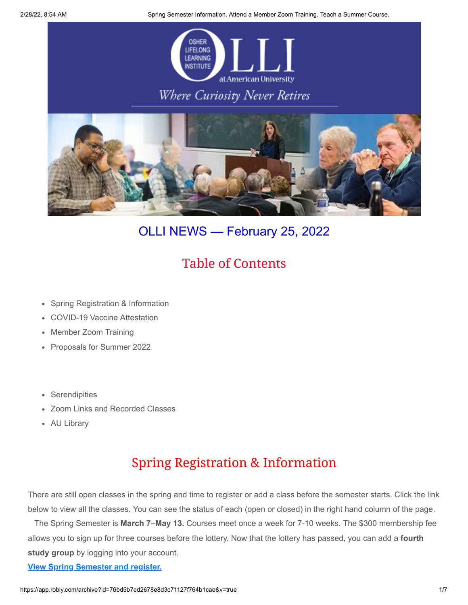

# OLLI NEWS — February 25, 2022

# Table of Contents

- Spring Registration & Information
- COVID-19 Vaccine Attestation
- Member Zoom Training
- Proposals for Summer 2022
- Serendipities
- Zoom Links and Recorded Classes
- AU Library

# Spring Registration & Information

There are still open classes in the spring and time to register or add a class before the semester starts. Click the link below to view all the classes. You can see the status of each (open or closed) in the right hand column of the page.

The Spring Semester is **March 7–May 13.** Courses meet once a week for 7-10 weeks. The \$300 membership fee allows you to sign up for three courses before the lottery. Now that the lottery has passed, you can add a **fourth study group** by logging into your account.

# **[View Spring Semester and register.](https://www.olli-dc.org/view_all_study_groups)**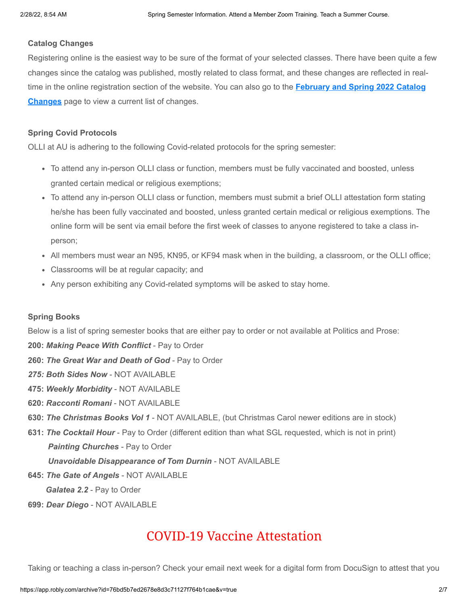#### **Catalog Changes**

Registering online is the easiest way to be sure of the format of your selected classes. There have been quite a few changes since the catalog was published, mostly related to class format, and these changes are reflected in real[time in the online registration section of the website. You can also go to the](https://www.olli-dc.org/feb_spring_catalog_changes) **February and Spring 2022 Catalog Changes** page to view a current list of changes.

### **Spring Covid Protocols**

OLLI at AU is adhering to the following Covid-related protocols for the spring semester:

- To attend any in-person OLLI class or function, members must be fully vaccinated and boosted, unless granted certain medical or religious exemptions;
- To attend any in-person OLLI class or function, members must submit a brief OLLI attestation form stating he/she has been fully vaccinated and boosted, unless granted certain medical or religious exemptions. The online form will be sent via email before the first week of classes to anyone registered to take a class inperson;
- All members must wear an N95, KN95, or KF94 mask when in the building, a classroom, or the OLLI office;
- Classrooms will be at regular capacity; and
- Any person exhibiting any Covid-related symptoms will be asked to stay home.

### **Spring Books**

Below is a list of spring semester books that are either pay to order or not available at Politics and Prose:

**200:** *Making Peace With Conflict* - Pay to Order

- **260:** *The Great War and Death of God* Pay to Order
- *275: Both Sides Now* NOT AVAILABLE
- **475:** *Weekly Morbidity* NOT AVAILABLE
- **620:** *Racconti Romani* NOT AVAILABLE
- **630:** *The Christmas Books Vol 1* NOT AVAILABLE, (but Christmas Carol newer editions are in stock)
- **631:** *The Cocktail Hour* Pay to Order (different edition than what SGL requested, which is not in print) *Painting Churches* - Pay to Order

# *Unavoidable Disappearance of Tom Durnin* - NOT AVAILABLE

**645:** *The Gate of Angels* - NOT AVAILABLE

*Galatea 2.2* - Pay to Order

**699:** *Dear Diego* - NOT AVAILABLE

# COVID-19 Vaccine Attestation

Taking or teaching a class in-person? Check your email next week for a digital form from DocuSign to attest that you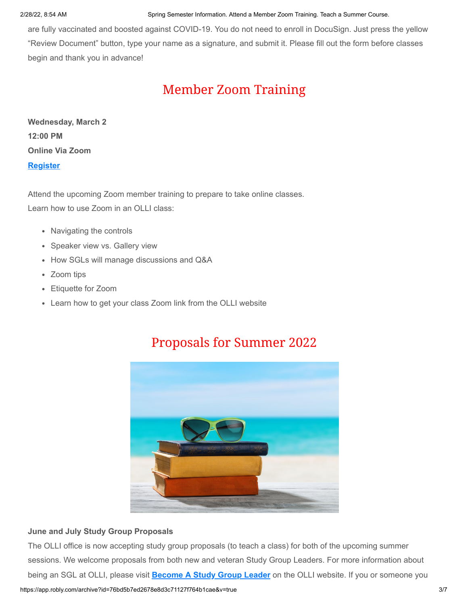are fully vaccinated and boosted against COVID-19. You do not need to enroll in DocuSign. Just press the yellow "Review Document" button, type your name as a signature, and submit it. Please fill out the form before classes begin and thank you in advance!

# Member Zoom Training

**Wednesday, March 2 12:00 PM Online Via Zoom**

### **[Register](https://olli-dc.org/events/OllimembertrainingMar2)**

Attend the upcoming Zoom member training to prepare to take online classes. Learn how to use Zoom in an OLLI class:

- Navigating the controls
- Speaker view vs. Gallery view
- How SGLs will manage discussions and Q&A
- Zoom tips
- Etiquette for Zoom
- Learn how to get your class Zoom link from the OLLI website

# Proposals for Summer 2022



# **June and July Study Group Proposals**

https://app.robly.com/archive?id=76bd5b7ed2678e8d3c71127f764b1cae&v=true 3/7 The OLLI office is now accepting study group proposals (to teach a class) for both of the upcoming summer sessions. We welcome proposals from both new and veteran Study Group Leaders. For more information about being an SGL at OLLI, please visit **[Become A Study Group Leader](https://olli-dc.org/become_a_study_group_leader)** on the OLLI website. If you or someone you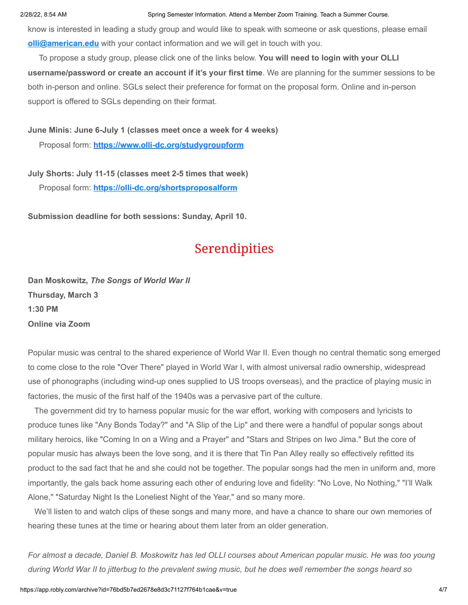know is interested in leading a study group and would like to speak with someone or ask questions, please email **[olli@american.edu](mailto:olli@american.edu)** with your contact information and we will get in touch with you.

To propose a study group, please click one of the links below. **You will need to login with your OLLI username/password or create an account if it's your first time**. We are planning for the summer sessions to be both in-person and online. SGLs select their preference for format on the proposal form. Online and in-person support is offered to SGLs depending on their format.

# **June Minis: June 6-July 1 (classes meet once a week for 4 weeks)**

Proposal form: **[https://www.olli-dc.org/studygroupform](https://olli-dc.org/studygroupform)**

**July Shorts: July 11-15 (classes meet 2-5 times that week)** Proposal form: **<https://olli-dc.org/shortsproposalform>**

**Submission deadline for both sessions: Sunday, April 10.**

# Serendipities

**Dan Moskowitz,** *The Songs of World War II* **Thursday, March 3 1:30 PM Online via Zoom**

Popular music was central to the shared experience of World War II. Even though no central thematic song emerged to come close to the role "Over There" played in World War I, with almost universal radio ownership, widespread use of phonographs (including wind-up ones supplied to US troops overseas), and the practice of playing music in factories, the music of the first half of the 1940s was a pervasive part of the culture.

The government did try to harness popular music for the war effort, working with composers and lyricists to produce tunes like "Any Bonds Today?" and "A Slip of the Lip" and there were a handful of popular songs about military heroics, like "Coming In on a Wing and a Prayer" and "Stars and Stripes on Iwo Jima." But the core of popular music has always been the love song, and it is there that Tin Pan Alley really so effectively refitted its product to the sad fact that he and she could not be together. The popular songs had the men in uniform and, more importantly, the gals back home assuring each other of enduring love and fidelity: "No Love, No Nothing," "I'll Walk Alone," "Saturday Night Is the Loneliest Night of the Year," and so many more.

We'll listen to and watch clips of these songs and many more, and have a chance to share our own memories of hearing these tunes at the time or hearing about them later from an older generation.

*For almost a decade, Daniel B. Moskowitz has led OLLI courses about American popular music. He was too young during World War II to jitterbug to the prevalent swing music, but he does well remember the songs heard so*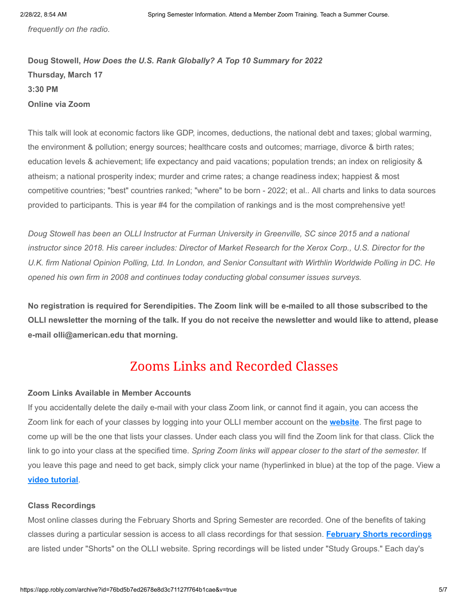*frequently on the radio.*

**Doug Stowell,** *How Does the U.S. Rank Globally? A Top 10 Summary for 2022* **Thursday, March 17 3:30 PM Online via Zoom**

This talk will look at economic factors like GDP, incomes, deductions, the national debt and taxes; global warming, the environment & pollution; energy sources; healthcare costs and outcomes; marriage, divorce & birth rates; education levels & achievement; life expectancy and paid vacations; population trends; an index on religiosity & atheism; a national prosperity index; murder and crime rates; a change readiness index; happiest & most competitive countries; "best" countries ranked; "where" to be born - 2022; et al.. All charts and links to data sources provided to participants. This is year #4 for the compilation of rankings and is the most comprehensive yet!

*Doug Stowell has been an OLLI Instructor at Furman University in Greenville, SC since 2015 and a national instructor since 2018. His career includes: Director of Market Research for the Xerox Corp., U.S. Director for the U.K. firm National Opinion Polling, Ltd. In London, and Senior Consultant with Wirthlin Worldwide Polling in DC. He opened his own firm in 2008 and continues today conducting global consumer issues surveys.*

**No registration is required for Serendipities. The Zoom link will be e-mailed to all those subscribed to the OLLI newsletter the morning of the talk. If you do not receive the newsletter and would like to attend, please e-mail olli@american.edu that morning.**

# Zooms Links and Recorded Classes

### **Zoom Links Available in Member Accounts**

If you accidentally delete the daily e-mail with your class Zoom link, or cannot find it again, you can access the Zoom link for each of your classes by logging into your OLLI member account on the **[website](https://www.olli-dc.org/)**. The first page to come up will be the one that lists your classes. Under each class you will find the Zoom link for that class. Click the link to go into your class at the specified time. *Spring Zoom links will appear closer to the start of the semester.* If you leave this page and need to get back, simply click your name (hyperlinked in blue) at the top of the page. View a **[video tutorial](https://vimeo.com/666099470)**.

#### **Class Recordings**

Most online classes during the February Shorts and Spring Semester are recorded. One of the benefits of taking classes during a particular session is access to all class recordings for that session. **[February Shorts recordings](https://www.olli-dc.org/2022_february_shorts_recordings)** are listed under "Shorts" on the OLLI website. Spring recordings will be listed under "Study Groups." Each day's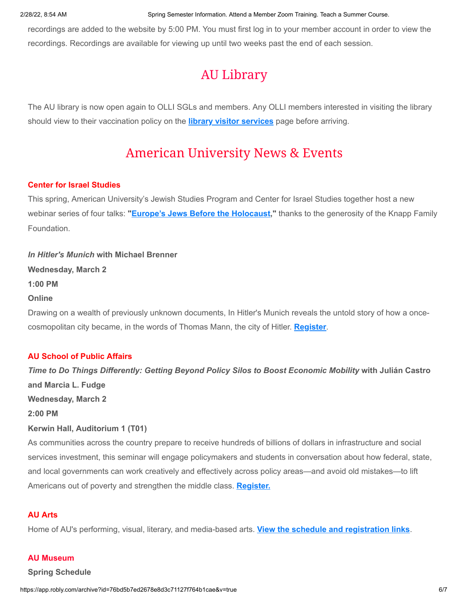recordings are added to the website by 5:00 PM. You must first log in to your member account in order to view the recordings. Recordings are available for viewing up until two weeks past the end of each session.

# AU Library

The AU library is now open again to OLLI SGLs and members. Any OLLI members interested in visiting the library should view to their vaccination policy on the **[library visitor services](https://www.american.edu/library/services/visitors.cfm)** page before arriving.

# American University News & Events

# **Center for Israel Studies**

This spring, American University's Jewish Studies Program and Center for Israel Studies together host a new webinar series of four talks: **["Europe's Jews Before the Holocaust,](https://www.american.edu/cas/israelstudies/europes-jews-before-the-holocaust.cfm)"** thanks to the generosity of the Knapp Family Foundation.

*In Hitler's Munich* **with Michael Brenner Wednesday, March 2 1:00 PM Online** Drawing on a wealth of previously unknown documents, In Hitler's Munich reveals the untold story of how a oncecosmopolitan city became, in the words of Thomas Mann, the city of Hitler. **[Register](https://www.eventbrite.com/e/europes-jews-before-the-holocaust-series-michael-brenner-march-2-tickets-244029467707)**.

# **AU School of Public Affairs**

*Time to Do Things Differently: Getting Beyond Policy Silos to Boost Economic Mobility* **with Julián Castro and Marcia L. Fudge Wednesday, March 2 2:00 PM**

# **Kerwin Hall, Auditorium 1 (T01)**

As communities across the country prepare to receive hundreds of billions of dollars in infrastructure and social services investment, this seminar will engage policymakers and students in conversation about how federal, state, and local governments can work creatively and effectively across policy areas—and avoid old mistakes—to lift Americans out of poverty and strengthen the middle class. **[Register.](https://american.swoogo.com/Castro)**

### **AU Arts**

Home of AU's performing, visual, literary, and media-based arts. **[View the schedule and registration links](https://www.american.edu/arts/)**.

### **AU Museum**

### **Spring Schedule**